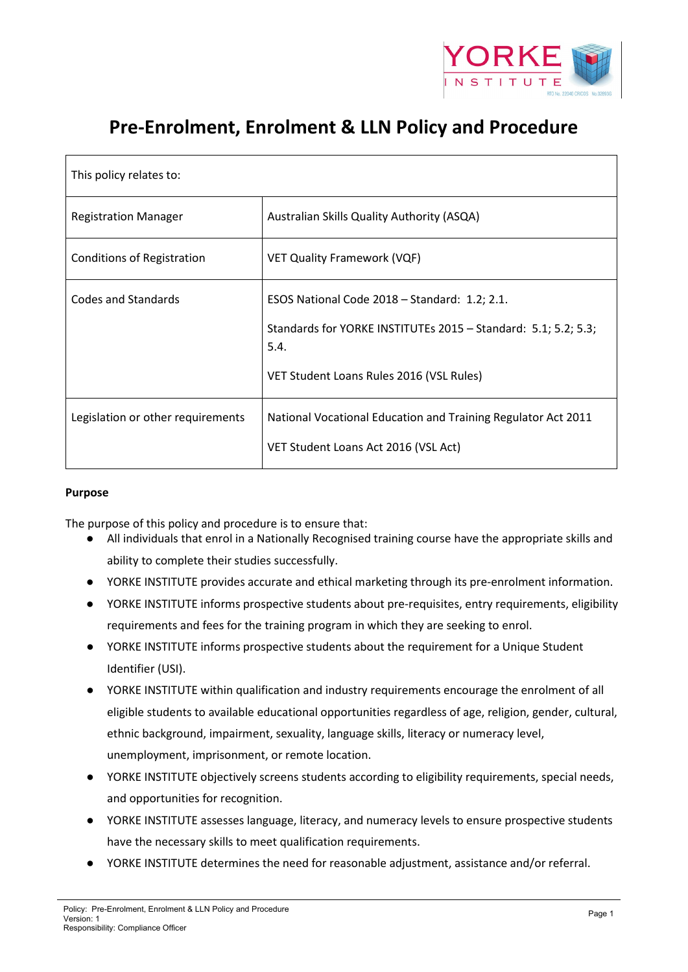

# **Pre-Enrolment, Enrolment & LLN Policy and Procedure**

| This policy relates to:           |                                                                                                                                                                     |  |
|-----------------------------------|---------------------------------------------------------------------------------------------------------------------------------------------------------------------|--|
| <b>Registration Manager</b>       | Australian Skills Quality Authority (ASQA)                                                                                                                          |  |
| <b>Conditions of Registration</b> | <b>VET Quality Framework (VQF)</b>                                                                                                                                  |  |
| <b>Codes and Standards</b>        | ESOS National Code 2018 - Standard: 1.2; 2.1.<br>Standards for YORKE INSTITUTEs 2015 - Standard: 5.1; 5.2; 5.3;<br>5.4.<br>VET Student Loans Rules 2016 (VSL Rules) |  |
| Legislation or other requirements | National Vocational Education and Training Regulator Act 2011<br>VET Student Loans Act 2016 (VSL Act)                                                               |  |

## **Purpose**

The purpose of this policy and procedure is to ensure that:

- All individuals that enrol in a Nationally Recognised training course have the appropriate skills and ability to complete their studies successfully.
- YORKE INSTITUTE provides accurate and ethical marketing through its pre-enrolment information.
- YORKE INSTITUTE informs prospective students about pre-requisites, entry requirements, eligibility requirements and fees for the training program in which they are seeking to enrol.
- YORKE INSTITUTE informs prospective students about the requirement for a Unique Student Identifier (USI).
- YORKE INSTITUTE within qualification and industry requirements encourage the enrolment of all eligible students to available educational opportunities regardless of age, religion, gender, cultural, ethnic background, impairment, sexuality, language skills, literacy or numeracy level, unemployment, imprisonment, or remote location.
- YORKE INSTITUTE objectively screens students according to eligibility requirements, special needs, and opportunities for recognition.
- YORKE INSTITUTE assesses language, literacy, and numeracy levels to ensure prospective students have the necessary skills to meet qualification requirements.
- YORKE INSTITUTE determines the need for reasonable adjustment, assistance and/or referral.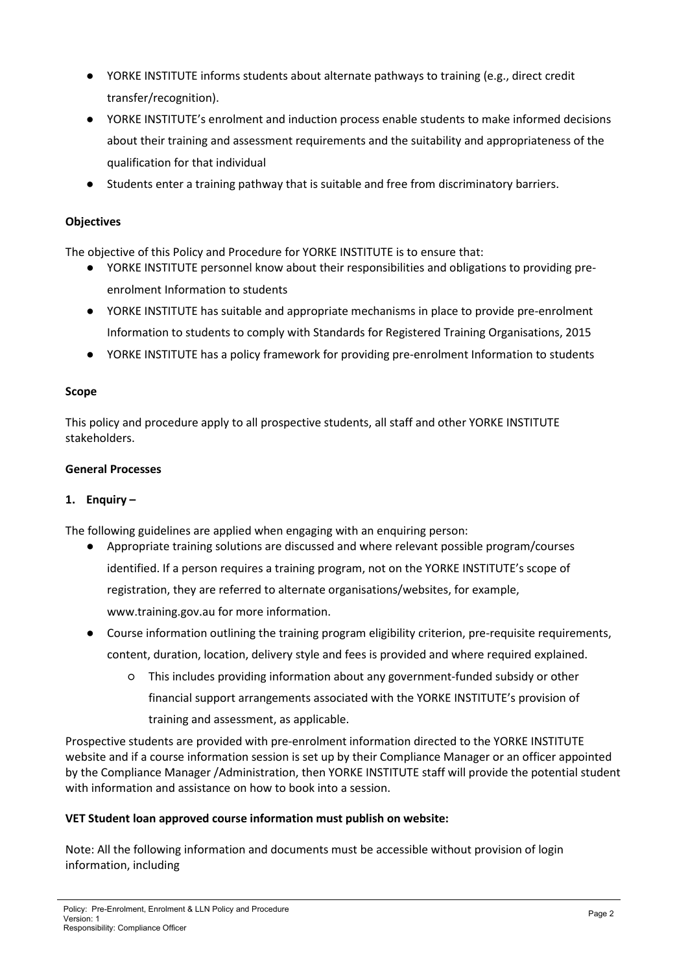- YORKE INSTITUTE informs students about alternate pathways to training (e.g., direct credit transfer/recognition).
- YORKE INSTITUTE's enrolment and induction process enable students to make informed decisions about their training and assessment requirements and the suitability and appropriateness of the qualification for that individual
- Students enter a training pathway that is suitable and free from discriminatory barriers.

## **Objectives**

The objective of this Policy and Procedure for YORKE INSTITUTE is to ensure that:

- YORKE INSTITUTE personnel know about their responsibilities and obligations to providing preenrolment Information to students
- YORKE INSTITUTE has suitable and appropriate mechanisms in place to provide pre-enrolment Information to students to comply with Standards for Registered Training Organisations, 2015
- YORKE INSTITUTE has a policy framework for providing pre-enrolment Information to students

## **Scope**

This policy and procedure apply to all prospective students, all staff and other YORKE INSTITUTE stakeholders.

#### **General Processes**

## **1. Enquiry –**

The following guidelines are applied when engaging with an enquiring person:

- Appropriate training solutions are discussed and where relevant possible program/courses identified. If a person requires a training program, not on the YORKE INSTITUTE's scope of registration, they are referred to alternate organisations/websites, for example, www.training.gov.au for more information.
- Course information outlining the training program eligibility criterion, pre-requisite requirements, content, duration, location, delivery style and fees is provided and where required explained.
	- This includes providing information about any government-funded subsidy or other financial support arrangements associated with the YORKE INSTITUTE's provision of training and assessment, as applicable.

Prospective students are provided with pre-enrolment information directed to the YORKE INSTITUTE website and if a course information session is set up by their Compliance Manager or an officer appointed by the Compliance Manager /Administration, then YORKE INSTITUTE staff will provide the potential student with information and assistance on how to book into a session.

## **VET Student loan approved course information must publish on website:**

Note: All the following information and documents must be accessible without provision of login information, including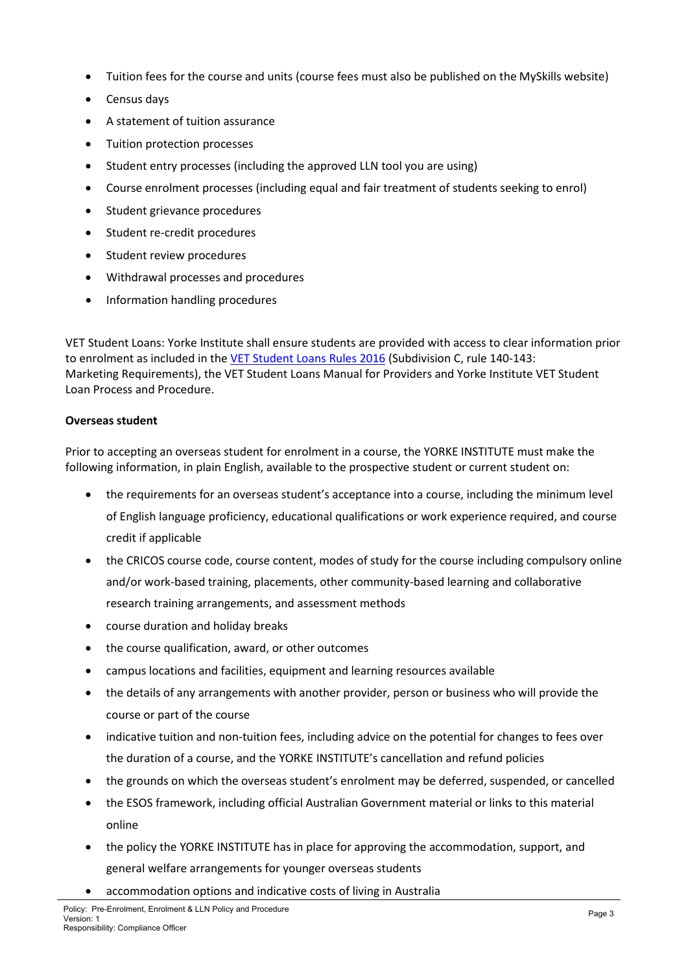- Tuition fees for the course and units (course fees must also be published on the MySkills website)
- Census days
- A statement of tuition assurance
- Tuition protection processes
- Student entry processes (including the approved LLN tool you are using)
- Course enrolment processes (including equal and fair treatment of students seeking to enrol)
- Student grievance procedures
- Student re-credit procedures
- Student review procedures
- Withdrawal processes and procedures
- Information handling procedures

VET Student Loans: Yorke Institute shall ensure students are provided with access to clear information prior to enrolment as included in the [VET Student Loans Rules 2016](https://www.legislation.gov.au/Details/F2017C00963) (Subdivision C, rule 140-143: Marketing Requirements), the VET Student Loans Manual for Providers and Yorke Institute VET Student Loan Process and Procedure.

## **Overseas student**

Prior to accepting an overseas student for enrolment in a course, the YORKE INSTITUTE must make the following information, in plain English, available to the prospective student or current student on:

- the requirements for an overseas student's acceptance into a course, including the minimum level of English language proficiency, educational qualifications or work experience required, and course credit if applicable
- the CRICOS course code, course content, modes of study for the course including compulsory online and/or work-based training, placements, other community-based learning and collaborative research training arrangements, and assessment methods
- course duration and holiday breaks
- the course qualification, award, or other outcomes
- campus locations and facilities, equipment and learning resources available
- the details of any arrangements with another provider, person or business who will provide the course or part of the course
- indicative tuition and non-tuition fees, including advice on the potential for changes to fees over the duration of a course, and the YORKE INSTITUTE's cancellation and refund policies
- the grounds on which the overseas student's enrolment may be deferred, suspended, or cancelled
- the ESOS framework, including official Australian Government material or links to this material online
- the policy the YORKE INSTITUTE has in place for approving the accommodation, support, and general welfare arrangements for younger overseas students
- accommodation options and indicative costs of living in Australia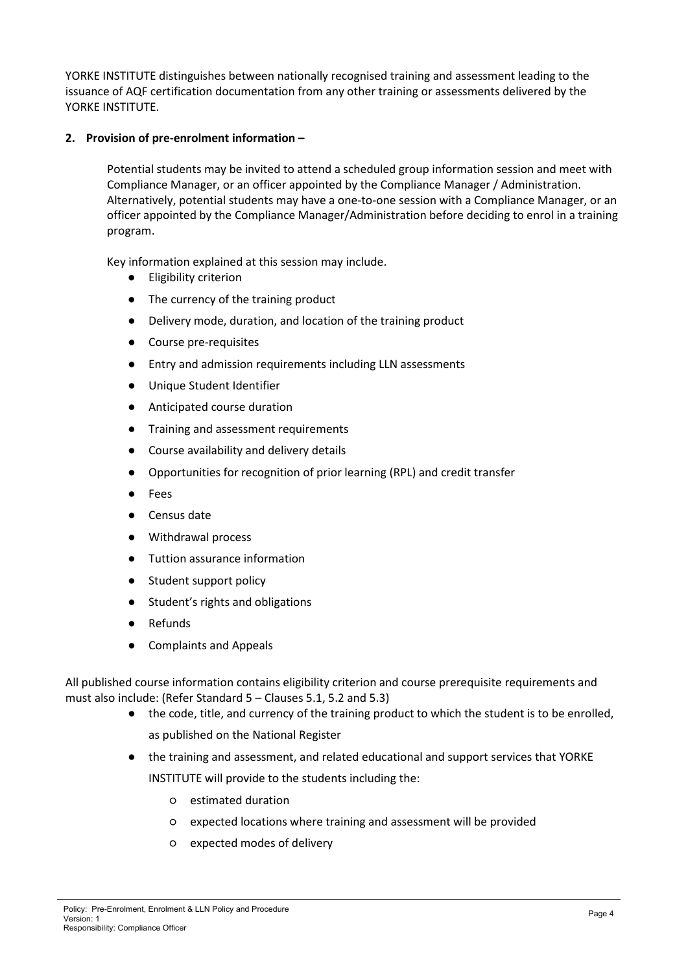YORKE INSTITUTE distinguishes between nationally recognised training and assessment leading to the issuance of AQF certification documentation from any other training or assessments delivered by the YORKE INSTITUTE.

## **2. Provision of pre-enrolment information –**

Potential students may be invited to attend a scheduled group information session and meet with Compliance Manager, or an officer appointed by the Compliance Manager / Administration. Alternatively, potential students may have a one-to-one session with a Compliance Manager, or an officer appointed by the Compliance Manager/Administration before deciding to enrol in a training program.

Key information explained at this session may include.

- **Eligibility criterion**
- The currency of the training product
- Delivery mode, duration, and location of the training product
- Course pre-requisites
- Entry and admission requirements including LLN assessments
- Unique Student Identifier
- Anticipated course duration
- Training and assessment requirements
- Course availability and delivery details
- Opportunities for recognition of prior learning (RPL) and credit transfer
- **Fees**
- Census date
- Withdrawal process
- Tuttion assurance information
- Student support policy
- Student's rights and obligations
- **Refunds**
- Complaints and Appeals

All published course information contains eligibility criterion and course prerequisite requirements and must also include: (Refer Standard 5 – Clauses 5.1, 5.2 and 5.3)

- the code, title, and currency of the training product to which the student is to be enrolled, as published on the National Register
- the training and assessment, and related educational and support services that YORKE INSTITUTE will provide to the students including the:
	- estimated duration
	- expected locations where training and assessment will be provided
	- expected modes of delivery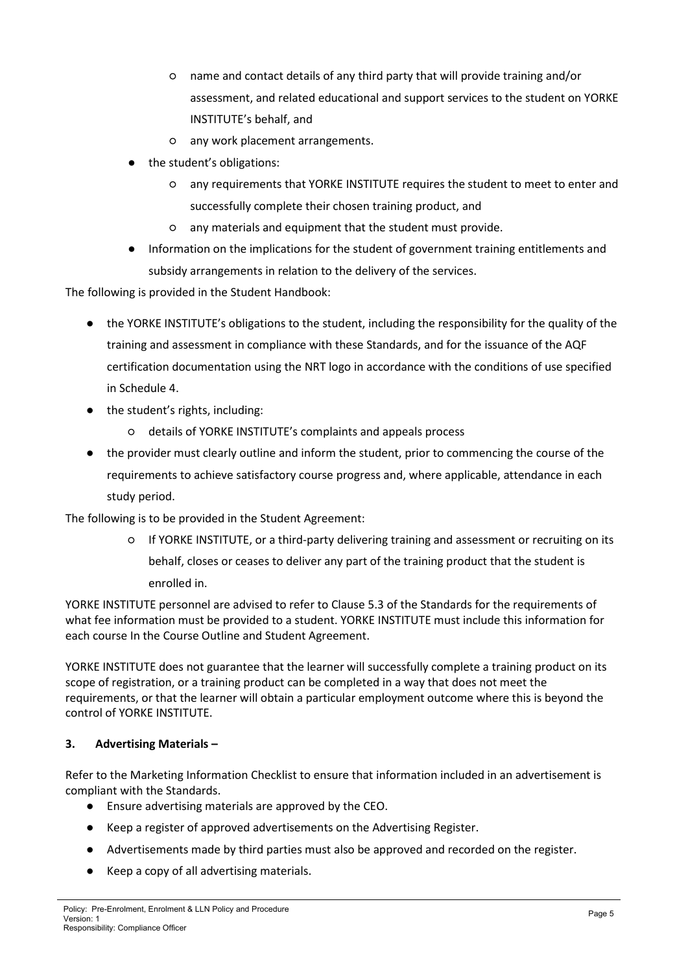- name and contact details of any third party that will provide training and/or assessment, and related educational and support services to the student on YORKE INSTITUTE's behalf, and
- any work placement arrangements.
- the student's obligations:
	- any requirements that YORKE INSTITUTE requires the student to meet to enter and successfully complete their chosen training product, and
	- any materials and equipment that the student must provide.
- Information on the implications for the student of government training entitlements and subsidy arrangements in relation to the delivery of the services.

The following is provided in the Student Handbook:

- the YORKE INSTITUTE's obligations to the student, including the responsibility for the quality of the training and assessment in compliance with these Standards, and for the issuance of the AQF certification documentation using the NRT logo in accordance with the conditions of use specified in Schedule 4.
- the student's rights, including:
	- details of YORKE INSTITUTE's complaints and appeals process
- the provider must clearly outline and inform the student, prior to commencing the course of the requirements to achieve satisfactory course progress and, where applicable, attendance in each study period.

The following is to be provided in the Student Agreement:

○ If YORKE INSTITUTE, or a third-party delivering training and assessment or recruiting on its behalf, closes or ceases to deliver any part of the training product that the student is enrolled in.

YORKE INSTITUTE personnel are advised to refer to Clause 5.3 of the Standards for the requirements of what fee information must be provided to a student. YORKE INSTITUTE must include this information for each course In the Course Outline and Student Agreement.

YORKE INSTITUTE does not guarantee that the learner will successfully complete a training product on its scope of registration, or a training product can be completed in a way that does not meet the requirements, or that the learner will obtain a particular employment outcome where this is beyond the control of YORKE INSTITUTE.

## **3. Advertising Materials –**

Refer to the Marketing Information Checklist to ensure that information included in an advertisement is compliant with the Standards.

- Ensure advertising materials are approved by the CEO.
- Keep a register of approved advertisements on the Advertising Register.
- Advertisements made by third parties must also be approved and recorded on the register.
- Keep a copy of all advertising materials.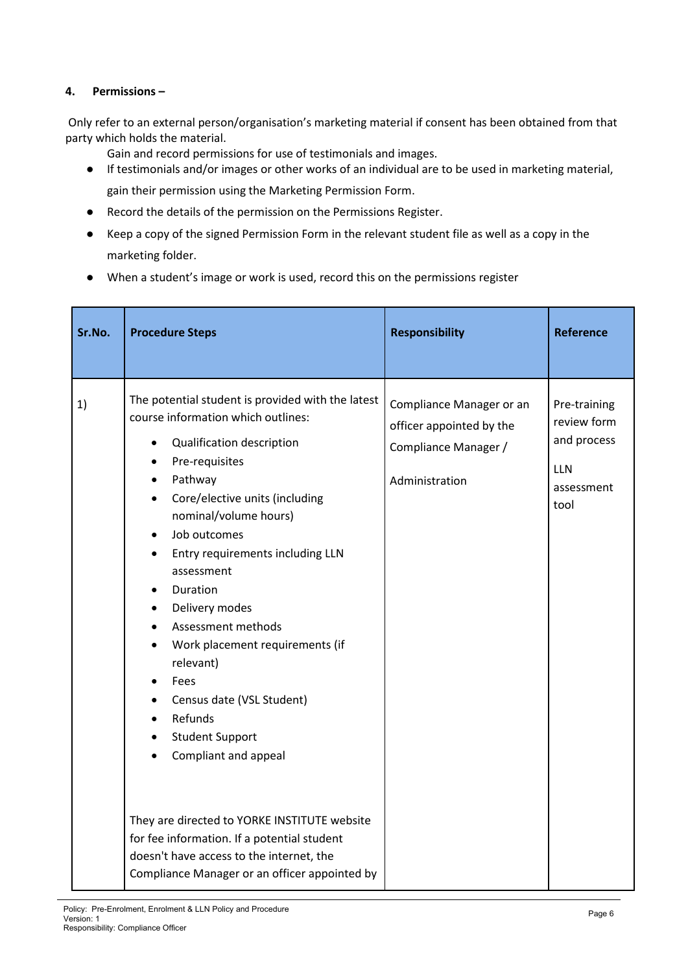## **4. Permissions –**

Only refer to an external person/organisation's marketing material if consent has been obtained from that party which holds the material.

- Gain and record permissions for use of testimonials and images.
- If testimonials and/or images or other works of an individual are to be used in marketing material, gain their permission using the Marketing Permission Form.
- Record the details of the permission on the Permissions Register.
- Keep a copy of the signed Permission Form in the relevant student file as well as a copy in the marketing folder.
- When a student's image or work is used, record this on the permissions register

| Sr.No. | <b>Procedure Steps</b>                                                                                                                                                                                                                                                                                                                                                                                                                                                                                                                                                                                                                                                                                                                                                                                                                                                 | <b>Responsibility</b>                                                                          | <b>Reference</b>                                                               |
|--------|------------------------------------------------------------------------------------------------------------------------------------------------------------------------------------------------------------------------------------------------------------------------------------------------------------------------------------------------------------------------------------------------------------------------------------------------------------------------------------------------------------------------------------------------------------------------------------------------------------------------------------------------------------------------------------------------------------------------------------------------------------------------------------------------------------------------------------------------------------------------|------------------------------------------------------------------------------------------------|--------------------------------------------------------------------------------|
| 1)     | The potential student is provided with the latest<br>course information which outlines:<br>Qualification description<br>$\bullet$<br>Pre-requisites<br>$\bullet$<br>Pathway<br>$\bullet$<br>Core/elective units (including<br>$\bullet$<br>nominal/volume hours)<br>Job outcomes<br>$\bullet$<br>Entry requirements including LLN<br>$\bullet$<br>assessment<br>Duration<br>$\bullet$<br>Delivery modes<br>$\bullet$<br>Assessment methods<br>$\bullet$<br>Work placement requirements (if<br>$\bullet$<br>relevant)<br>Fees<br>$\bullet$<br>Census date (VSL Student)<br>$\bullet$<br>Refunds<br>$\bullet$<br><b>Student Support</b><br>$\bullet$<br>Compliant and appeal<br>They are directed to YORKE INSTITUTE website<br>for fee information. If a potential student<br>doesn't have access to the internet, the<br>Compliance Manager or an officer appointed by | Compliance Manager or an<br>officer appointed by the<br>Compliance Manager /<br>Administration | Pre-training<br>review form<br>and process<br><b>LLN</b><br>assessment<br>tool |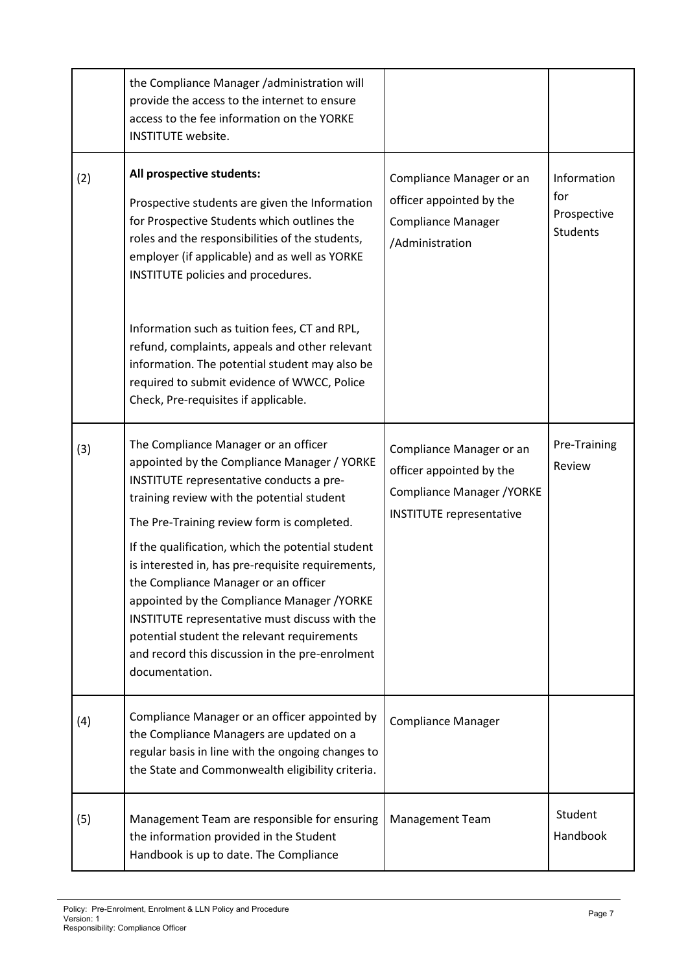|     | the Compliance Manager /administration will<br>provide the access to the internet to ensure<br>access to the fee information on the YORKE<br><b>INSTITUTE</b> website.                                                                                                                                                                                                                                                                                                                                                                                                                            |                                                                                                                       |                                                      |
|-----|---------------------------------------------------------------------------------------------------------------------------------------------------------------------------------------------------------------------------------------------------------------------------------------------------------------------------------------------------------------------------------------------------------------------------------------------------------------------------------------------------------------------------------------------------------------------------------------------------|-----------------------------------------------------------------------------------------------------------------------|------------------------------------------------------|
| (2) | All prospective students:<br>Prospective students are given the Information<br>for Prospective Students which outlines the<br>roles and the responsibilities of the students,<br>employer (if applicable) and as well as YORKE<br>INSTITUTE policies and procedures.<br>Information such as tuition fees, CT and RPL,                                                                                                                                                                                                                                                                             | Compliance Manager or an<br>officer appointed by the<br><b>Compliance Manager</b><br>/Administration                  | Information<br>for<br>Prospective<br><b>Students</b> |
|     | refund, complaints, appeals and other relevant<br>information. The potential student may also be<br>required to submit evidence of WWCC, Police<br>Check, Pre-requisites if applicable.                                                                                                                                                                                                                                                                                                                                                                                                           |                                                                                                                       |                                                      |
| (3) | The Compliance Manager or an officer<br>appointed by the Compliance Manager / YORKE<br>INSTITUTE representative conducts a pre-<br>training review with the potential student<br>The Pre-Training review form is completed.<br>If the qualification, which the potential student<br>is interested in, has pre-requisite requirements,<br>the Compliance Manager or an officer<br>appointed by the Compliance Manager /YORKE<br>INSTITUTE representative must discuss with the<br>potential student the relevant requirements<br>and record this discussion in the pre-enrolment<br>documentation. | Compliance Manager or an<br>officer appointed by the<br>Compliance Manager / YORKE<br><b>INSTITUTE representative</b> | Pre-Training<br>Review                               |
| (4) | Compliance Manager or an officer appointed by<br>the Compliance Managers are updated on a<br>regular basis in line with the ongoing changes to<br>the State and Commonwealth eligibility criteria.                                                                                                                                                                                                                                                                                                                                                                                                | <b>Compliance Manager</b>                                                                                             |                                                      |
| (5) | Management Team are responsible for ensuring<br>the information provided in the Student<br>Handbook is up to date. The Compliance                                                                                                                                                                                                                                                                                                                                                                                                                                                                 | <b>Management Team</b>                                                                                                | Student<br>Handbook                                  |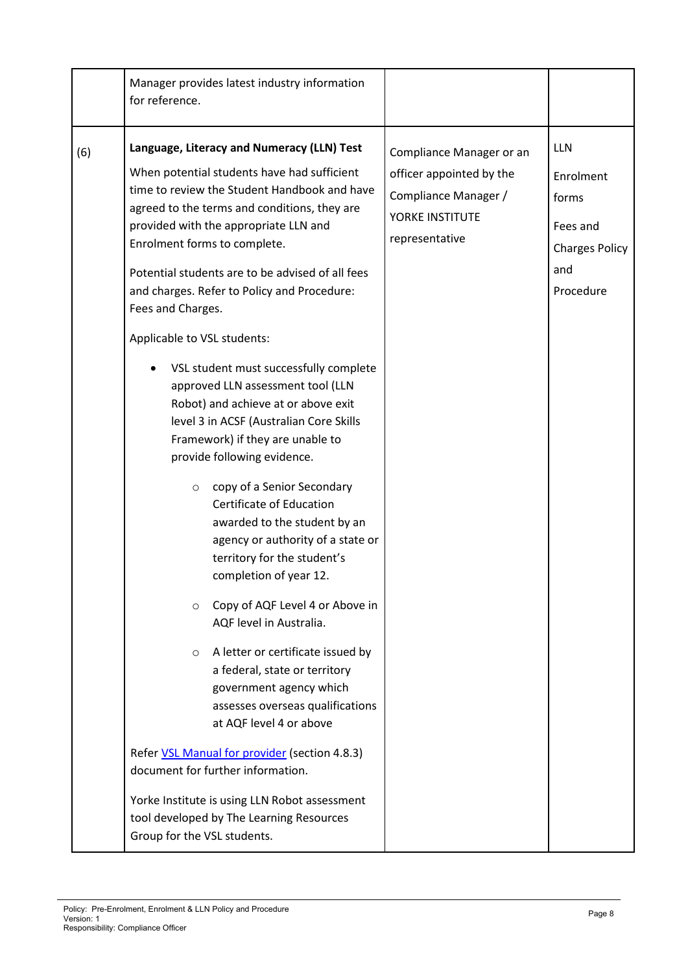|     | Manager provides latest industry information<br>for reference.                                                                                                                                                                                                                                                                                                                                                                                                                                                                                                                                                                                                                                                                                                                                                                                                                                                                                                                                                                                                                                                                                                                                             |                                                                                                                   |                                                                                           |
|-----|------------------------------------------------------------------------------------------------------------------------------------------------------------------------------------------------------------------------------------------------------------------------------------------------------------------------------------------------------------------------------------------------------------------------------------------------------------------------------------------------------------------------------------------------------------------------------------------------------------------------------------------------------------------------------------------------------------------------------------------------------------------------------------------------------------------------------------------------------------------------------------------------------------------------------------------------------------------------------------------------------------------------------------------------------------------------------------------------------------------------------------------------------------------------------------------------------------|-------------------------------------------------------------------------------------------------------------------|-------------------------------------------------------------------------------------------|
| (6) | Language, Literacy and Numeracy (LLN) Test<br>When potential students have had sufficient<br>time to review the Student Handbook and have<br>agreed to the terms and conditions, they are<br>provided with the appropriate LLN and<br>Enrolment forms to complete.<br>Potential students are to be advised of all fees<br>and charges. Refer to Policy and Procedure:<br>Fees and Charges.<br>Applicable to VSL students:<br>VSL student must successfully complete<br>approved LLN assessment tool (LLN<br>Robot) and achieve at or above exit<br>level 3 in ACSF (Australian Core Skills<br>Framework) if they are unable to<br>provide following evidence.<br>copy of a Senior Secondary<br>$\circ$<br>Certificate of Education<br>awarded to the student by an<br>agency or authority of a state or<br>territory for the student's<br>completion of year 12.<br>Copy of AQF Level 4 or Above in<br>$\circ$<br>AQF level in Australia.<br>A letter or certificate issued by<br>$\circ$<br>a federal, state or territory<br>government agency which<br>assesses overseas qualifications<br>at AQF level 4 or above<br>Refer VSL Manual for provider (section 4.8.3)<br>document for further information. | Compliance Manager or an<br>officer appointed by the<br>Compliance Manager /<br>YORKE INSTITUTE<br>representative | <b>LLN</b><br>Enrolment<br>forms<br>Fees and<br><b>Charges Policy</b><br>and<br>Procedure |
|     | Yorke Institute is using LLN Robot assessment<br>tool developed by The Learning Resources<br>Group for the VSL students.                                                                                                                                                                                                                                                                                                                                                                                                                                                                                                                                                                                                                                                                                                                                                                                                                                                                                                                                                                                                                                                                                   |                                                                                                                   |                                                                                           |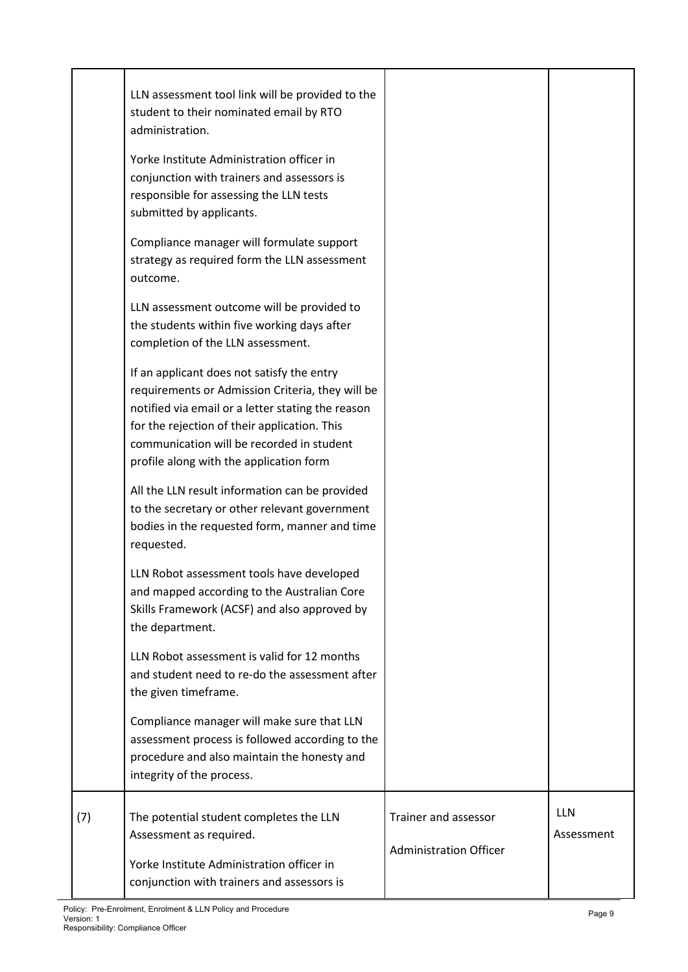|     | LLN assessment tool link will be provided to the<br>student to their nominated email by RTO<br>administration.<br>Yorke Institute Administration officer in<br>conjunction with trainers and assessors is<br>responsible for assessing the LLN tests<br>submitted by applicants.<br>Compliance manager will formulate support<br>strategy as required form the LLN assessment<br>outcome.<br>LLN assessment outcome will be provided to<br>the students within five working days after<br>completion of the LLN assessment.<br>If an applicant does not satisfy the entry<br>requirements or Admission Criteria, they will be<br>notified via email or a letter stating the reason<br>for the rejection of their application. This<br>communication will be recorded in student<br>profile along with the application form<br>All the LLN result information can be provided<br>to the secretary or other relevant government<br>bodies in the requested form, manner and time<br>requested.<br>LLN Robot assessment tools have developed<br>and mapped according to the Australian Core<br>Skills Framework (ACSF) and also approved by<br>the department.<br>LLN Robot assessment is valid for 12 months<br>and student need to re-do the assessment after<br>the given timeframe.<br>Compliance manager will make sure that LLN<br>assessment process is followed according to the |                                                       |                          |
|-----|---------------------------------------------------------------------------------------------------------------------------------------------------------------------------------------------------------------------------------------------------------------------------------------------------------------------------------------------------------------------------------------------------------------------------------------------------------------------------------------------------------------------------------------------------------------------------------------------------------------------------------------------------------------------------------------------------------------------------------------------------------------------------------------------------------------------------------------------------------------------------------------------------------------------------------------------------------------------------------------------------------------------------------------------------------------------------------------------------------------------------------------------------------------------------------------------------------------------------------------------------------------------------------------------------------------------------------------------------------------------------------------|-------------------------------------------------------|--------------------------|
|     | procedure and also maintain the honesty and<br>integrity of the process.                                                                                                                                                                                                                                                                                                                                                                                                                                                                                                                                                                                                                                                                                                                                                                                                                                                                                                                                                                                                                                                                                                                                                                                                                                                                                                              |                                                       |                          |
| (7) | The potential student completes the LLN<br>Assessment as required.<br>Yorke Institute Administration officer in<br>conjunction with trainers and assessors is                                                                                                                                                                                                                                                                                                                                                                                                                                                                                                                                                                                                                                                                                                                                                                                                                                                                                                                                                                                                                                                                                                                                                                                                                         | Trainer and assessor<br><b>Administration Officer</b> | <b>LLN</b><br>Assessment |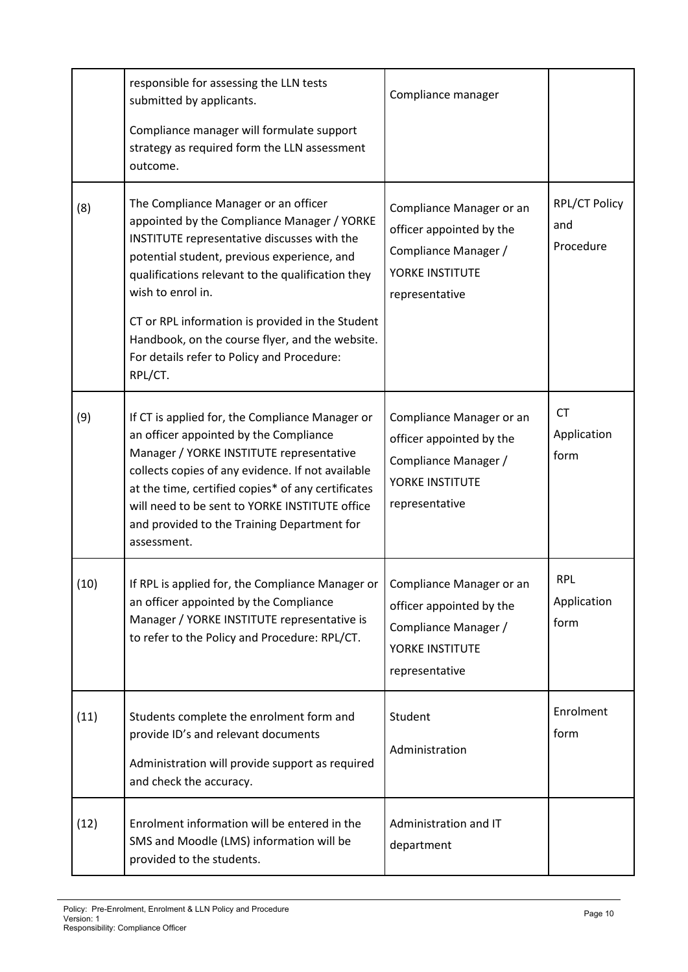|      | responsible for assessing the LLN tests<br>submitted by applicants.<br>Compliance manager will formulate support<br>strategy as required form the LLN assessment<br>outcome.                                                                                                                                                                                                                                                | Compliance manager                                                                                                |                                   |
|------|-----------------------------------------------------------------------------------------------------------------------------------------------------------------------------------------------------------------------------------------------------------------------------------------------------------------------------------------------------------------------------------------------------------------------------|-------------------------------------------------------------------------------------------------------------------|-----------------------------------|
| (8)  | The Compliance Manager or an officer<br>appointed by the Compliance Manager / YORKE<br>INSTITUTE representative discusses with the<br>potential student, previous experience, and<br>qualifications relevant to the qualification they<br>wish to enrol in.<br>CT or RPL information is provided in the Student<br>Handbook, on the course flyer, and the website.<br>For details refer to Policy and Procedure:<br>RPL/CT. | Compliance Manager or an<br>officer appointed by the<br>Compliance Manager /<br>YORKE INSTITUTE<br>representative | RPL/CT Policy<br>and<br>Procedure |
| (9)  | If CT is applied for, the Compliance Manager or<br>an officer appointed by the Compliance<br>Manager / YORKE INSTITUTE representative<br>collects copies of any evidence. If not available<br>at the time, certified copies* of any certificates<br>will need to be sent to YORKE INSTITUTE office<br>and provided to the Training Department for<br>assessment.                                                            | Compliance Manager or an<br>officer appointed by the<br>Compliance Manager /<br>YORKE INSTITUTE<br>representative | <b>CT</b><br>Application<br>form  |
| (10) | If RPL is applied for, the Compliance Manager or   Compliance Manager or an<br>an officer appointed by the Compliance<br>Manager / YORKE INSTITUTE representative is<br>to refer to the Policy and Procedure: RPL/CT.                                                                                                                                                                                                       | officer appointed by the<br>Compliance Manager /<br>YORKE INSTITUTE<br>representative                             | <b>RPL</b><br>Application<br>form |
| (11) | Students complete the enrolment form and<br>provide ID's and relevant documents<br>Administration will provide support as required<br>and check the accuracy.                                                                                                                                                                                                                                                               | Student<br>Administration                                                                                         | Enrolment<br>form                 |
| (12) | Enrolment information will be entered in the<br>SMS and Moodle (LMS) information will be<br>provided to the students.                                                                                                                                                                                                                                                                                                       | Administration and IT<br>department                                                                               |                                   |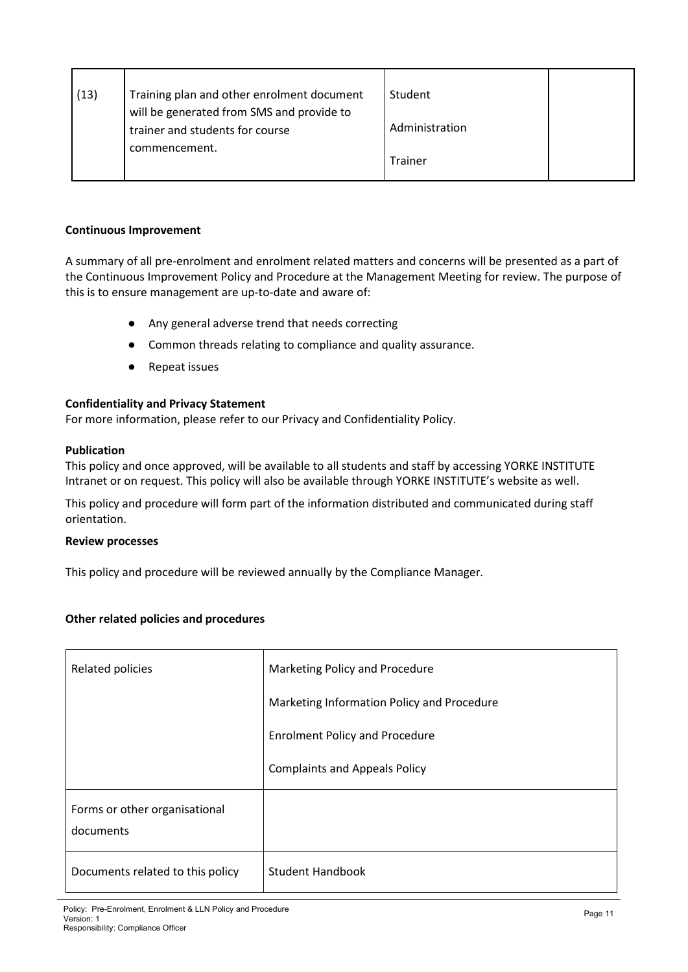| (13) | Training plan and other enrolment document | Student        |  |
|------|--------------------------------------------|----------------|--|
|      | will be generated from SMS and provide to  |                |  |
|      | trainer and students for course            | Administration |  |
|      | commencement.                              |                |  |
|      |                                            | Trainer        |  |
|      |                                            |                |  |

#### **Continuous Improvement**

A summary of all pre-enrolment and enrolment related matters and concerns will be presented as a part of the Continuous Improvement Policy and Procedure at the Management Meeting for review. The purpose of this is to ensure management are up-to-date and aware of:

- Any general adverse trend that needs correcting
- Common threads relating to compliance and quality assurance.
- Repeat issues

#### **Confidentiality and Privacy Statement**

For more information, please refer to our Privacy and Confidentiality Policy.

#### **Publication**

This policy and once approved, will be available to all students and staff by accessing YORKE INSTITUTE Intranet or on request. This policy will also be available through YORKE INSTITUTE's website as well.

This policy and procedure will form part of the information distributed and communicated during staff orientation.

#### **Review processes**

This policy and procedure will be reviewed annually by the Compliance Manager.

#### **Other related policies and procedures**

| Related policies                           | Marketing Policy and Procedure             |
|--------------------------------------------|--------------------------------------------|
|                                            | Marketing Information Policy and Procedure |
|                                            | <b>Enrolment Policy and Procedure</b>      |
|                                            | <b>Complaints and Appeals Policy</b>       |
| Forms or other organisational<br>documents |                                            |
| Documents related to this policy           | <b>Student Handbook</b>                    |